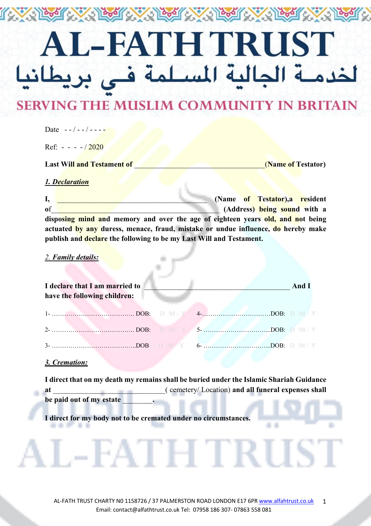# L-FATH TRUST ة الجالية المسلمة فـي بريا لخدم

The Control of the Text of Control Control

## **SERVING THE MUSLIM COMMUNITY IN BRITAIN**

| 1. Declaration                    |                    |
|-----------------------------------|--------------------|
| <b>Last Will and Testament of</b> | (Name of Testator) |
| Ref: $- - - 2020$                 |                    |
| Date $-$ - $/$ - - $/$ - - - -    |                    |

**I, I** *CONDERGIATE CONSTRUCTER (Name of Testator), a resident* $\frac{1}{2}$ *CONDERGIATE CONSTRUCTER (Name of Testator), a resident* **of o** *sound* **with a** *sound* **with a** *sound sound* **with a disposing mind and memory and over the age of eighteen years old, and not being actuated by any duress, menace, fraud, mistake or undue influence, do hereby make publish and declare the following to be my Last Will and Testament.**

#### *2. Family details:*

| I declare that I am married to<br>have the following children: |  | And $I$ |
|----------------------------------------------------------------|--|---------|
|                                                                |  |         |
|                                                                |  |         |
|                                                                |  |         |

#### *3. Cremation:*

 $\cdots$ 

٠

| I direct that on my death my remains shall be buried under the Islamic Shariah Guidance |                                                    |  |  |  |
|-----------------------------------------------------------------------------------------|----------------------------------------------------|--|--|--|
| at                                                                                      | (cemetery/Location) and all funeral expenses shall |  |  |  |
| be paid out of my estate                                                                |                                                    |  |  |  |

**I direct for my body not to be cremated under no circumstances.**